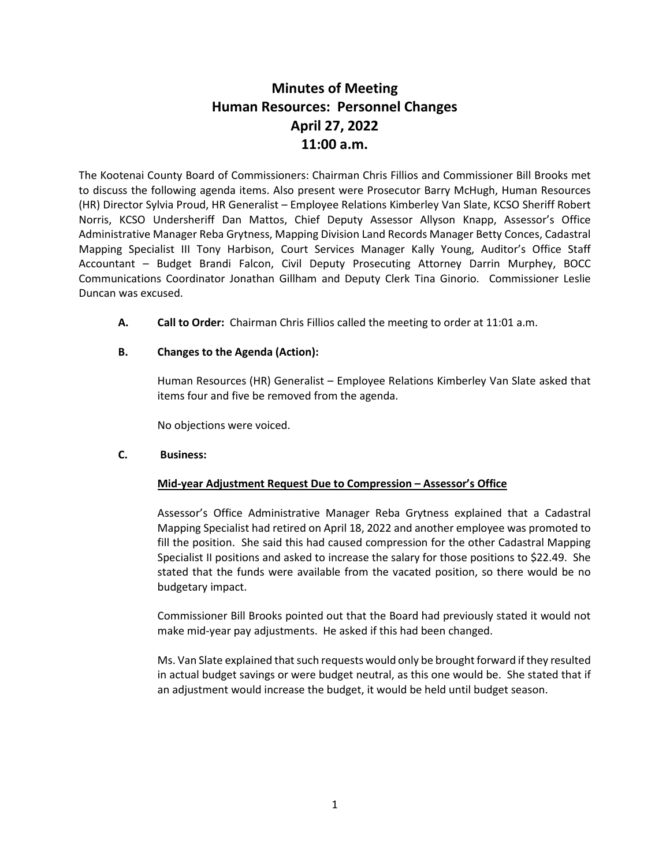# **Minutes of Meeting Human Resources: Personnel Changes April 27, 2022 11:00 a.m.**

The Kootenai County Board of Commissioners: Chairman Chris Fillios and Commissioner Bill Brooks met to discuss the following agenda items. Also present were Prosecutor Barry McHugh, Human Resources (HR) Director Sylvia Proud, HR Generalist – Employee Relations Kimberley Van Slate, KCSO Sheriff Robert Norris, KCSO Undersheriff Dan Mattos, Chief Deputy Assessor Allyson Knapp, Assessor's Office Administrative Manager Reba Grytness, Mapping Division Land Records Manager Betty Conces, Cadastral Mapping Specialist III Tony Harbison, Court Services Manager Kally Young, Auditor's Office Staff Accountant – Budget Brandi Falcon, Civil Deputy Prosecuting Attorney Darrin Murphey, BOCC Communications Coordinator Jonathan Gillham and Deputy Clerk Tina Ginorio. Commissioner Leslie Duncan was excused.

**A. Call to Order:** Chairman Chris Fillios called the meeting to order at 11:01 a.m.

# **B. Changes to the Agenda (Action):**

Human Resources (HR) Generalist – Employee Relations Kimberley Van Slate asked that items four and five be removed from the agenda.

No objections were voiced.

# **C. Business:**

# **Mid-year Adjustment Request Due to Compression – Assessor's Office**

Assessor's Office Administrative Manager Reba Grytness explained that a Cadastral Mapping Specialist had retired on April 18, 2022 and another employee was promoted to fill the position. She said this had caused compression for the other Cadastral Mapping Specialist II positions and asked to increase the salary for those positions to \$22.49. She stated that the funds were available from the vacated position, so there would be no budgetary impact.

Commissioner Bill Brooks pointed out that the Board had previously stated it would not make mid-year pay adjustments. He asked if this had been changed.

Ms. Van Slate explained that such requests would only be brought forward if they resulted in actual budget savings or were budget neutral, as this one would be. She stated that if an adjustment would increase the budget, it would be held until budget season.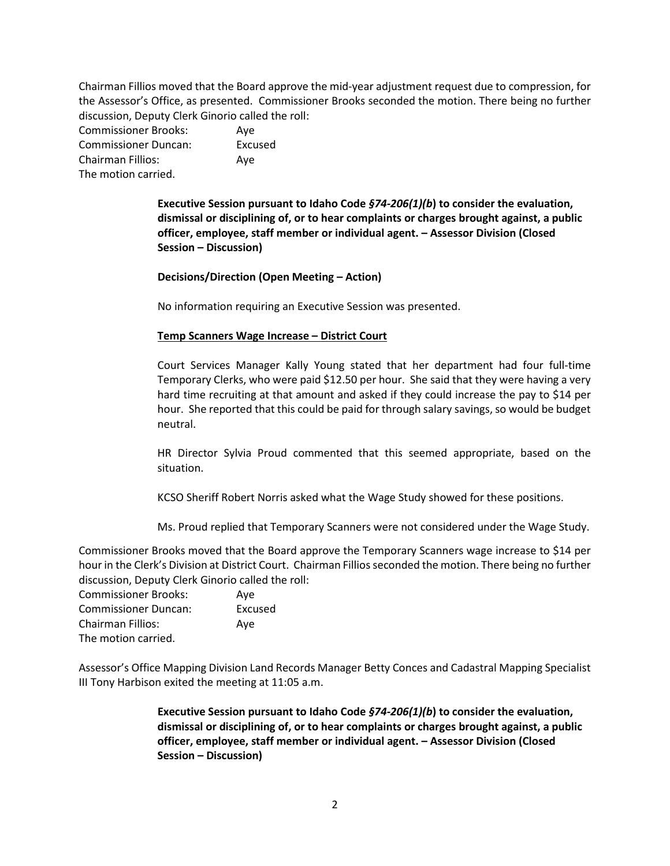Chairman Fillios moved that the Board approve the mid-year adjustment request due to compression, for the Assessor's Office, as presented. Commissioner Brooks seconded the motion. There being no further discussion, Deputy Clerk Ginorio called the roll:

| <b>Commissioner Brooks:</b> | Ave     |
|-----------------------------|---------|
| <b>Commissioner Duncan:</b> | Excused |
| Chairman Fillios:           | Ave     |
| The motion carried.         |         |

**Executive Session pursuant to Idaho Code** *§74-206(1)(b***) to consider the evaluation, dismissal or disciplining of, or to hear complaints or charges brought against, a public officer, employee, staff member or individual agent. – Assessor Division (Closed Session – Discussion)**

**Decisions/Direction (Open Meeting – Action)**

No information requiring an Executive Session was presented.

## **Temp Scanners Wage Increase – District Court**

Court Services Manager Kally Young stated that her department had four full-time Temporary Clerks, who were paid \$12.50 per hour. She said that they were having a very hard time recruiting at that amount and asked if they could increase the pay to \$14 per hour. She reported that this could be paid for through salary savings, so would be budget neutral.

HR Director Sylvia Proud commented that this seemed appropriate, based on the situation.

KCSO Sheriff Robert Norris asked what the Wage Study showed for these positions.

Ms. Proud replied that Temporary Scanners were not considered under the Wage Study.

Commissioner Brooks moved that the Board approve the Temporary Scanners wage increase to \$14 per hour in the Clerk's Division at District Court. Chairman Fillios seconded the motion. There being no further discussion, Deputy Clerk Ginorio called the roll:

| <b>Commissioner Brooks:</b> | Ave     |
|-----------------------------|---------|
| <b>Commissioner Duncan:</b> | Excused |
| <b>Chairman Fillios:</b>    | Ave     |
| The motion carried.         |         |

Assessor's Office Mapping Division Land Records Manager Betty Conces and Cadastral Mapping Specialist III Tony Harbison exited the meeting at 11:05 a.m.

> **Executive Session pursuant to Idaho Code** *§74-206(1)(b***) to consider the evaluation, dismissal or disciplining of, or to hear complaints or charges brought against, a public officer, employee, staff member or individual agent. – Assessor Division (Closed Session – Discussion)**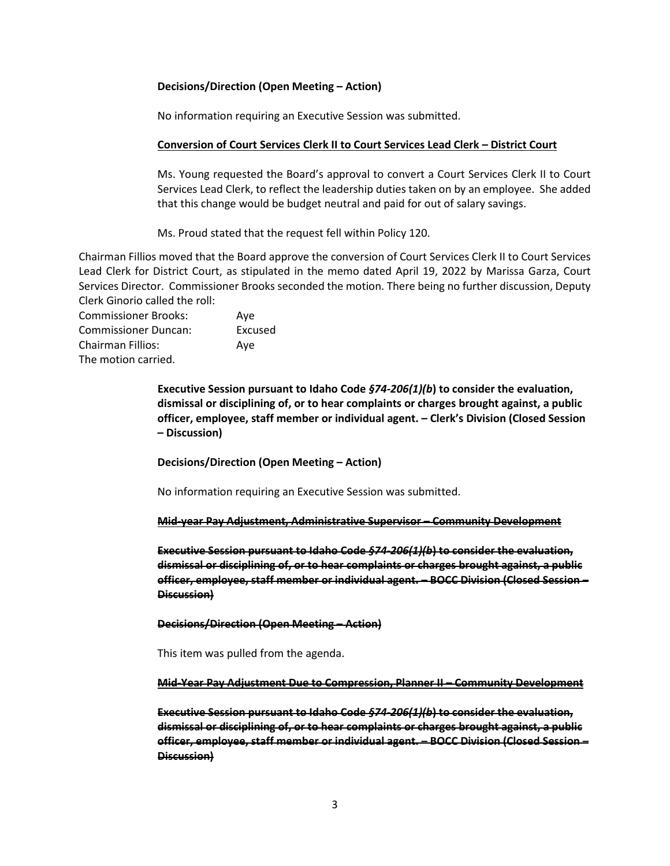## **Decisions/Direction (Open Meeting – Action)**

No information requiring an Executive Session was submitted.

## **Conversion of Court Services Clerk II to Court Services Lead Clerk – District Court**

Ms. Young requested the Board's approval to convert a Court Services Clerk II to Court Services Lead Clerk, to reflect the leadership duties taken on by an employee. She added that this change would be budget neutral and paid for out of salary savings.

Ms. Proud stated that the request fell within Policy 120.

Chairman Fillios moved that the Board approve the conversion of Court Services Clerk II to Court Services Lead Clerk for District Court, as stipulated in the memo dated April 19, 2022 by Marissa Garza, Court Services Director. Commissioner Brooks seconded the motion. There being no further discussion, Deputy Clerk Ginorio called the roll:

Commissioner Brooks: Aye Commissioner Duncan: Excused Chairman Fillios: Aye The motion carried.

> **Executive Session pursuant to Idaho Code** *§74-206(1)(b***) to consider the evaluation, dismissal or disciplining of, or to hear complaints or charges brought against, a public officer, employee, staff member or individual agent. – Clerk's Division (Closed Session – Discussion)**

**Decisions/Direction (Open Meeting – Action)**

No information requiring an Executive Session was submitted.

#### **Mid-year Pay Adjustment, Administrative Supervisor – Community Development**

**Executive Session pursuant to Idaho Code** *§74-206(1)(b***) to consider the evaluation, dismissal or disciplining of, or to hear complaints or charges brought against, a public officer, employee, staff member or individual agent. – BOCC Division (Closed Session – Discussion)**

#### **Decisions/Direction (Open Meeting – Action)**

This item was pulled from the agenda.

#### **Mid-Year Pay Adjustment Due to Compression, Planner II – Community Development**

**Executive Session pursuant to Idaho Code** *§74-206(1)(b***) to consider the evaluation, dismissal or disciplining of, or to hear complaints or charges brought against, a public officer, employee, staff member or individual agent. – BOCC Division (Closed Session – Discussion)**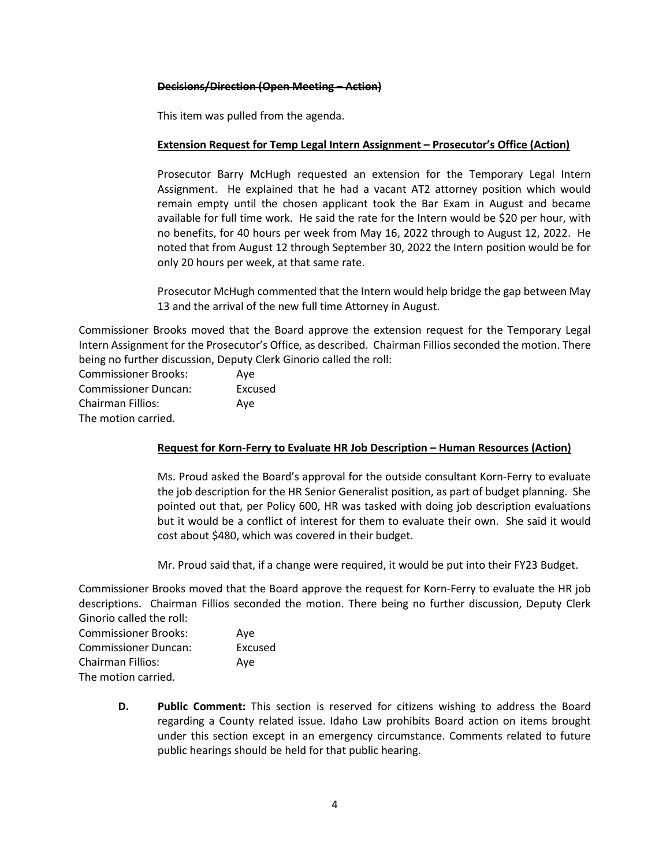## **Decisions/Direction (Open Meeting – Action)**

This item was pulled from the agenda.

# **Extension Request for Temp Legal Intern Assignment – Prosecutor's Office (Action)**

Prosecutor Barry McHugh requested an extension for the Temporary Legal Intern Assignment. He explained that he had a vacant AT2 attorney position which would remain empty until the chosen applicant took the Bar Exam in August and became available for full time work. He said the rate for the Intern would be \$20 per hour, with no benefits, for 40 hours per week from May 16, 2022 through to August 12, 2022. He noted that from August 12 through September 30, 2022 the Intern position would be for only 20 hours per week, at that same rate.

Prosecutor McHugh commented that the Intern would help bridge the gap between May 13 and the arrival of the new full time Attorney in August.

Commissioner Brooks moved that the Board approve the extension request for the Temporary Legal Intern Assignment for the Prosecutor's Office, as described. Chairman Fillios seconded the motion. There being no further discussion, Deputy Clerk Ginorio called the roll:

Commissioner Brooks: Aye Commissioner Duncan: Excused Chairman Fillios: Aye The motion carried.

# **Request for Korn-Ferry to Evaluate HR Job Description – Human Resources (Action)**

Ms. Proud asked the Board's approval for the outside consultant Korn-Ferry to evaluate the job description for the HR Senior Generalist position, as part of budget planning. She pointed out that, per Policy 600, HR was tasked with doing job description evaluations but it would be a conflict of interest for them to evaluate their own. She said it would cost about \$480, which was covered in their budget.

Mr. Proud said that, if a change were required, it would be put into their FY23 Budget.

Commissioner Brooks moved that the Board approve the request for Korn-Ferry to evaluate the HR job descriptions. Chairman Fillios seconded the motion. There being no further discussion, Deputy Clerk Ginorio called the roll:

| <b>Commissioner Brooks:</b> | Ave     |
|-----------------------------|---------|
| <b>Commissioner Duncan:</b> | Excused |
| Chairman Fillios:           | Ave     |
| The motion carried.         |         |

**D. Public Comment:** This section is reserved for citizens wishing to address the Board regarding a County related issue. Idaho Law prohibits Board action on items brought under this section except in an emergency circumstance. Comments related to future public hearings should be held for that public hearing.